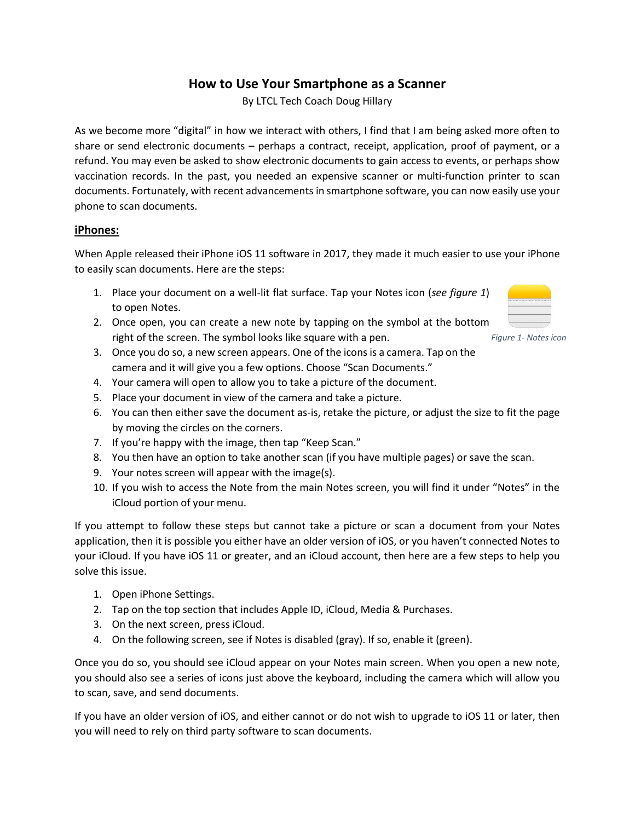## **How to Use Your Smartphone as a Scanner**

By LTCL Tech Coach Doug Hillary

As we become more "digital" in how we interact with others, I find that I am being asked more often to share or send electronic documents – perhaps a contract, receipt, application, proof of payment, or a refund. You may even be asked to show electronic documents to gain access to events, or perhaps show vaccination records. In the past, you needed an expensive scanner or multi-function printer to scan documents. Fortunately, with recent advancements in smartphone software, you can now easily use your phone to scan documents.

## **iPhones:**

When Apple released their iPhone iOS 11 software in 2017, they made it much easier to use your iPhone to easily scan documents. Here are the steps:

- 1. Place your document on a well-lit flat surface. Tap your Notes icon (*see figure 1*) to open Notes.
- 2. Once open, you can create a new note by tapping on the symbol at the bottom right of the screen. The symbol looks like square with a pen.
- 3. Once you do so, a new screen appears. One of the icons is a camera. Tap on the camera and it will give you a few options. Choose "Scan Documents."
- 4. Your camera will open to allow you to take a picture of the document.
- 5. Place your document in view of the camera and take a picture.
- 6. You can then either save the document as-is, retake the picture, or adjust the size to fit the page by moving the circles on the corners.
- 7. If you're happy with the image, then tap "Keep Scan."
- 8. You then have an option to take another scan (if you have multiple pages) or save the scan.
- 9. Your notes screen will appear with the image(s).
- 10. If you wish to access the Note from the main Notes screen, you will find it under "Notes" in the iCloud portion of your menu.

If you attempt to follow these steps but cannot take a picture or scan a document from your Notes application, then it is possible you either have an older version of iOS, or you haven't connected Notes to your iCloud. If you have iOS 11 or greater, and an iCloud account, then here are a few steps to help you solve this issue.

- 1. Open iPhone Settings.
- 2. Tap on the top section that includes Apple ID, iCloud, Media & Purchases.
- 3. On the next screen, press iCloud.
- 4. On the following screen, see if Notes is disabled (gray). If so, enable it (green).

Once you do so, you should see iCloud appear on your Notes main screen. When you open a new note, you should also see a series of icons just above the keyboard, including the camera which will allow you to scan, save, and send documents.

If you have an older version of iOS, and either cannot or do not wish to upgrade to iOS 11 or later, then you will need to rely on third party software to scan documents.



*Figure 1- Notes icon*